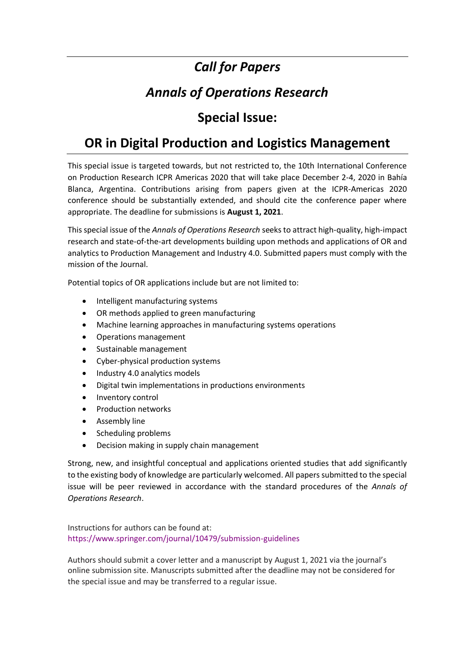## *Call for Papers*

# *Annals of Operations Research*

### **Special Issue:**

### **OR in Digital Production and Logistics Management**

This special issue is targeted towards, but not restricted to, the 10th International Conference on Production Research ICPR Americas 2020 that will take place December 2-4, 2020 in Bahía Blanca, Argentina. Contributions arising from papers given at the ICPR-Americas 2020 conference should be substantially extended, and should cite the conference paper where appropriate. The deadline for submissions is **August 1, 2021**.

This special issue of the *Annals of Operations Research* seeks to attract high-quality, high-impact research and state-of-the-art developments building upon methods and applications of OR and analytics to Production Management and Industry 4.0. Submitted papers must comply with the mission of the Journal.

Potential topics of OR applications include but are not limited to:

- Intelligent manufacturing systems
- OR methods applied to green manufacturing
- Machine learning approaches in manufacturing systems operations
- Operations management
- Sustainable management
- Cyber-physical production systems
- Industry 4.0 analytics models
- Digital twin implementations in productions environments
- Inventory control
- Production networks
- Assembly line
- Scheduling problems
- Decision making in supply chain management

Strong, new, and insightful conceptual and applications oriented studies that add significantly to the existing body of knowledge are particularly welcomed. All papers submitted to the special issue will be peer reviewed in accordance with the standard procedures of the *Annals of Operations Research*.

Instructions for authors can be found at: https://www.springer.com/journal/10479/submission-guidelines

Authors should submit a cover letter and a manuscript by August 1, 2021 via the journal's online submission site. Manuscripts submitted after the deadline may not be considered for the special issue and may be transferred to a regular issue.